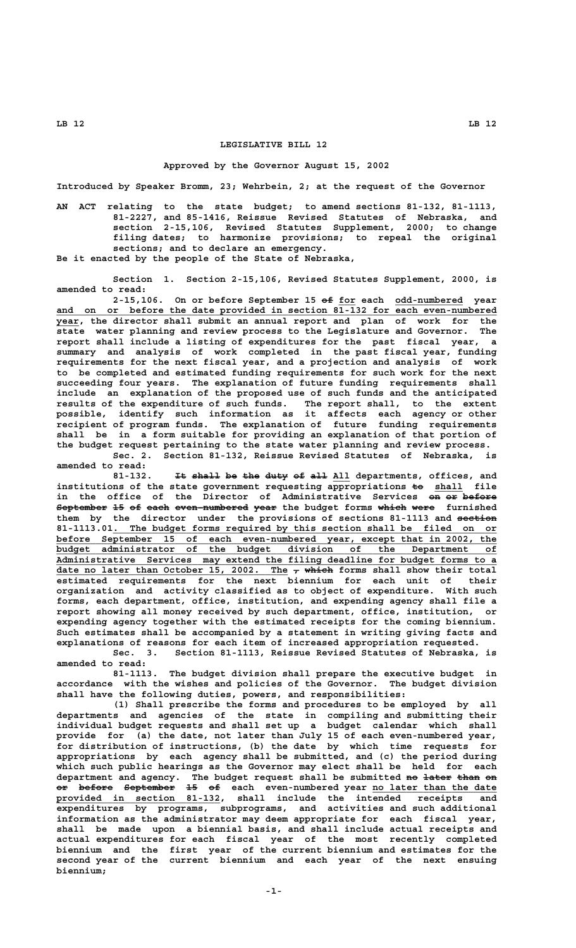## **LEGISLATIVE BILL 12**

## **Approved by the Governor August 15, 2002**

**Introduced by Speaker Bromm, 23; Wehrbein, 2; at the request of the Governor**

**AN ACT relating to the state budget; to amend sections 81-132, 81-1113, 81-2227, and 85-1416, Reissue Revised Statutes of Nebraska, and section 2-15,106, Revised Statutes Supplement, 2000; to change filing dates; to harmonize provisions; to repeal the original sections; and to declare an emergency. Be it enacted by the people of the State of Nebraska,**

**Section 1. Section 2-15,106, Revised Statutes Supplement, 2000, is amended to read:**

2-15,106. On or before September 15 of for each odd-numbered year and on or before the date provided in section 81-132 for each even-numbered  **\_\_\_\_ year, the director shall submit an annual report and plan of work for the state water planning and review process to the Legislature and Governor. The report shall include a listing of expenditures for the past fiscal year, a summary and analysis of work completed in the past fiscal year, funding requirements for the next fiscal year, and a projection and analysis of work to be completed and estimated funding requirements for such work for the next succeeding four years. The explanation of future funding requirements shall include an explanation of the proposed use of such funds and the anticipated results of the expenditure of such funds. The report shall, to the extent possible, identify such information as it affects each agency or other recipient of program funds. The explanation of future funding requirements shall be in a form suitable for providing an explanation of that portion of the budget request pertaining to the state water planning and review process.**

**Sec. 2. Section 81-132, Reissue Revised Statutes of Nebraska, is amended to read:**

81-132. It shall be the duty of all All departments, offices, and institutions of the state government requesting appropriations  $\neq$  shall file in the office of the Director of Administrative Services on or before September 15 of each even-numbered year the budget forms which were furnished them by the director under the provisions of sections 81-1113 and section 81-1113.01. The budget forms required by this section shall be filed on or  **\_\_\_\_\_\_\_\_\_\_\_\_\_\_\_\_\_\_\_\_\_\_\_\_\_\_\_\_\_\_\_\_\_\_\_\_\_\_\_\_\_\_\_\_\_\_\_\_\_\_\_\_\_\_\_\_\_\_\_\_\_\_\_\_\_\_\_\_\_\_\_\_\_\_\_\_\_\_ before September 15 of each even-numbered year, except that in 2002, the \_\_\_\_\_\_\_\_\_\_\_\_\_\_\_\_\_\_\_\_\_\_\_\_\_\_\_\_\_\_\_\_\_\_\_\_\_\_\_\_\_\_\_\_\_\_\_\_\_\_\_\_\_\_\_\_\_\_\_\_\_\_\_\_\_\_\_\_\_\_\_\_\_\_\_\_\_\_ budget administrator of the budget division of the Department of \_\_\_\_\_\_\_\_\_\_\_\_\_\_\_\_\_\_\_\_\_\_\_\_\_\_\_\_\_\_\_\_\_\_\_\_\_\_\_\_\_\_\_\_\_\_\_\_\_\_\_\_\_\_\_\_\_\_\_\_\_\_\_\_\_\_\_\_\_\_\_\_\_\_\_\_\_\_ Administrative Services may extend the filing deadline for budget forms to a** date no later than October 15, 2002. The  $_7$  which forms shall show their total **estimated requirements for the next biennium for each unit of their organization and activity classified as to object of expenditure. With such forms, each department, office, institution, and expending agency shall file a report showing all money received by such department, office, institution, or expending agency together with the estimated receipts for the coming biennium. Such estimates shall be accompanied by a statement in writing giving facts and explanations of reasons for each item of increased appropriation requested.**

> **Sec. 3. Section 81-1113, Reissue Revised Statutes of Nebraska, is amended to read:**

> **81-1113. The budget division shall prepare the executive budget in accordance with the wishes and policies of the Governor. The budget division shall have the following duties, powers, and responsibilities:**

**(1) Shall prescribe the forms and procedures to be employed by all departments and agencies of the state in compiling and submitting their individual budget requests and shall set up a budget calendar which shall provide for (a) the date, not later than July 15 of each even-numbered year, for distribution of instructions, (b) the date by which time requests for appropriations by each agency shall be submitted, and (c) the period during which such public hearings as the Governor may elect shall be held for each** department and agency. The budget request shall be submitted <del>no later than on</del> **or before September 15 of each even-numbered year no later than the date —— —————— ————————— —— —— \_\_\_\_\_\_\_\_\_\_\_\_\_\_\_\_\_\_\_\_\_\_ \_\_\_\_\_\_\_\_\_\_\_\_\_\_\_\_\_\_\_\_\_\_\_\_\_\_\_\_\_ provided in section 81-132, shall include the intended receipts and expenditures by programs, subprograms, and activities and such additional information as the administrator may deem appropriate for each fiscal year, shall be made upon a biennial basis, and shall include actual receipts and actual expenditures for each fiscal year of the most recently completed biennium and the first year of the current biennium and estimates for the second year of the current biennium and each year of the next ensuing biennium;**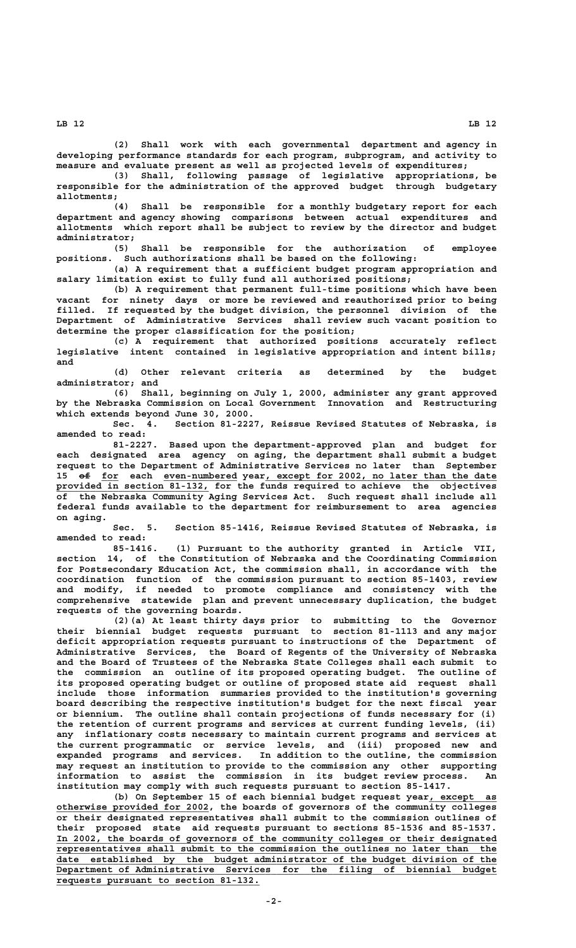**LB 12 LB 12**

**(2) Shall work with each governmental department and agency in developing performance standards for each program, subprogram, and activity to measure and evaluate present as well as projected levels of expenditures;**

**(3) Shall, following passage of legislative appropriations, be responsible for the administration of the approved budget through budgetary allotments;**

**(4) Shall be responsible for a monthly budgetary report for each department and agency showing comparisons between actual expenditures and allotments which report shall be subject to review by the director and budget administrator;**

**(5) Shall be responsible for the authorization of employee positions. Such authorizations shall be based on the following:**

**(a) A requirement that a sufficient budget program appropriation and salary limitation exist to fully fund all authorized positions;**

**(b) A requirement that permanent full-time positions which have been vacant for ninety days or more be reviewed and reauthorized prior to being filled. If requested by the budget division, the personnel division of the Department of Administrative Services shall review such vacant position to determine the proper classification for the position;**

**(c) A requirement that authorized positions accurately reflect legislative intent contained in legislative appropriation and intent bills; and**

**(d) Other relevant criteria as determined by the budget administrator; and**

**(6) Shall, beginning on July 1, 2000, administer any grant approved by the Nebraska Commission on Local Government Innovation and Restructuring which extends beyond June 30, 2000.**

**Sec. 4. Section 81-2227, Reissue Revised Statutes of Nebraska, is amended to read:**

**81-2227. Based upon the department-approved plan and budget for each designated area agency on aging, the department shall submit a budget request to the Department of Administrative Services no later than September** 15  $\Theta$  for each even-numbered year, except for 2002, no later than the date  **\_\_\_\_\_\_\_\_\_\_\_\_\_\_\_\_\_\_\_\_\_\_\_\_\_\_\_ provided in section 81-132, for the funds required to achieve the objectives of the Nebraska Community Aging Services Act. Such request shall include all federal funds available to the department for reimbursement to area agencies on aging.**

> **Sec. 5. Section 85-1416, Reissue Revised Statutes of Nebraska, is amended to read:**

> **85-1416. (1) Pursuant to the authority granted in Article VII, section 14, of the Constitution of Nebraska and the Coordinating Commission for Postsecondary Education Act, the commission shall, in accordance with the coordination function of the commission pursuant to section 85-1403, review and modify, if needed to promote compliance and consistency with the comprehensive statewide plan and prevent unnecessary duplication, the budget requests of the governing boards.**

> **(2)(a) At least thirty days prior to submitting to the Governor their biennial budget requests pursuant to section 81-1113 and any major deficit appropriation requests pursuant to instructions of the Department of Administrative Services, the Board of Regents of the University of Nebraska and the Board of Trustees of the Nebraska State Colleges shall each submit to the commission an outline of its proposed operating budget. The outline of its proposed operating budget or outline of proposed state aid request shall include those information summaries provided to the institution's governing board describing the respective institution's budget for the next fiscal year or biennium. The outline shall contain projections of funds necessary for (i) the retention of current programs and services at current funding levels, (ii) any inflationary costs necessary to maintain current programs and services at the current programmatic or service levels, and (iii) proposed new and expanded programs and services. In addition to the outline, the commission may request an institution to provide to the commission any other supporting information to assist the commission in its budget review process. An institution may comply with such requests pursuant to section 85-1417.**

**(b) On September 15 of each biennial budget request year, except as \_\_\_\_\_\_\_\_\_\_\_\_ \_\_\_\_\_\_\_\_\_\_\_\_\_\_\_\_\_\_\_\_\_\_\_\_\_\_\_ otherwise provided for 2002, the boards of governors of the community colleges or their designated representatives shall submit to the commission outlines of their proposed state aid requests pursuant to sections 85-1536 and 85-1537. \_\_\_\_\_\_\_\_\_\_\_\_\_\_\_\_\_\_\_\_\_\_\_\_\_\_\_\_\_\_\_\_\_\_\_\_\_\_\_\_\_\_\_\_\_\_\_\_\_\_\_\_\_\_\_\_\_\_\_\_\_\_\_\_\_\_\_\_\_\_\_\_\_\_\_\_\_\_ In 2002, the boards of governors of the community colleges or their designated \_\_\_\_\_\_\_\_\_\_\_\_\_\_\_\_\_\_\_\_\_\_\_\_\_\_\_\_\_\_\_\_\_\_\_\_\_\_\_\_\_\_\_\_\_\_\_\_\_\_\_\_\_\_\_\_\_\_\_\_\_\_\_\_\_\_\_\_\_\_\_\_\_\_\_\_\_\_ representatives shall submit to the commission the outlines no later than the \_\_\_\_\_\_\_\_\_\_\_\_\_\_\_\_\_\_\_\_\_\_\_\_\_\_\_\_\_\_\_\_\_\_\_\_\_\_\_\_\_\_\_\_\_\_\_\_\_\_\_\_\_\_\_\_\_\_\_\_\_\_\_\_\_\_\_\_\_\_\_\_\_\_\_\_\_\_ date established by the budget administrator of the budget division of the \_\_\_\_\_\_\_\_\_\_\_\_\_\_\_\_\_\_\_\_\_\_\_\_\_\_\_\_\_\_\_\_\_\_\_\_\_\_\_\_\_\_\_\_\_\_\_\_\_\_\_\_\_\_\_\_\_\_\_\_\_\_\_\_\_\_\_\_\_\_\_\_\_\_\_\_\_\_ Department of Administrative Services for the filing of biennial budget \_\_\_\_\_\_\_\_\_\_\_\_\_\_\_\_\_\_\_\_\_\_\_\_\_\_\_\_\_\_\_\_\_\_\_\_ requests pursuant to section 81-132.**